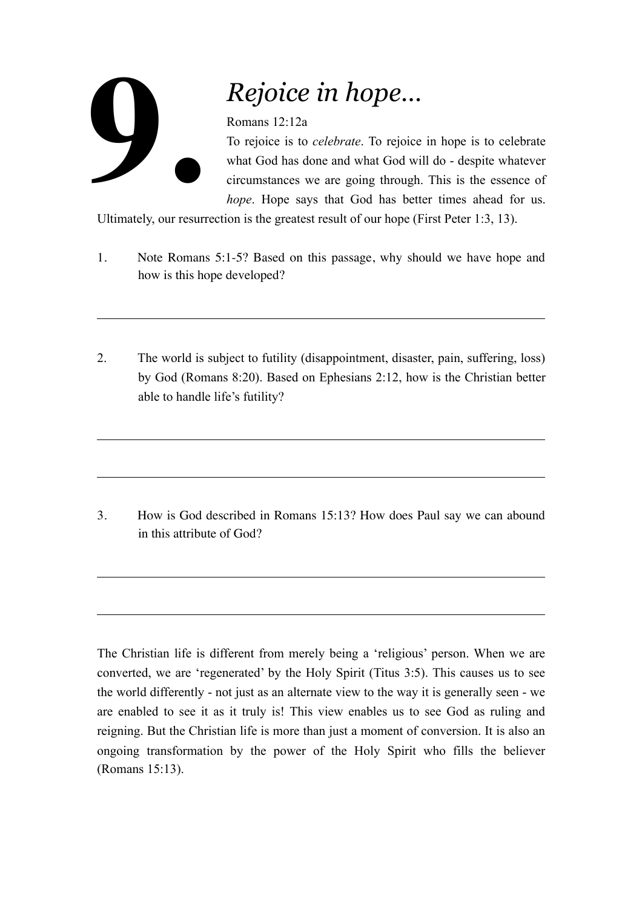## **9.**

## *Rejoice in hope…*

## Romans 12:12a

To rejoice is to *celebrate*. To rejoice in hope is to celebrate what God has done and what God will do - despite whatever circumstances we are going through. This is the essence of *hope*. Hope says that God has better times ahead for us.

Ultimately, our resurrection is the greatest result of our hope (First Peter 1:3, 13).

- 1. Note Romans 5:1-5? Based on this passage, why should we have hope and how is this hope developed?
- 2. The world is subject to futility (disappointment, disaster, pain, suffering, loss) by God (Romans 8:20). Based on Ephesians 2:12, how is the Christian better able to handle life's futility?

3. How is God described in Romans 15:13? How does Paul say we can abound in this attribute of God?

The Christian life is different from merely being a 'religious' person. When we are converted, we are 'regenerated' by the Holy Spirit (Titus 3:5). This causes us to see the world differently - not just as an alternate view to the way it is generally seen - we are enabled to see it as it truly is! This view enables us to see God as ruling and reigning. But the Christian life is more than just a moment of conversion. It is also an ongoing transformation by the power of the Holy Spirit who fills the believer (Romans 15:13).